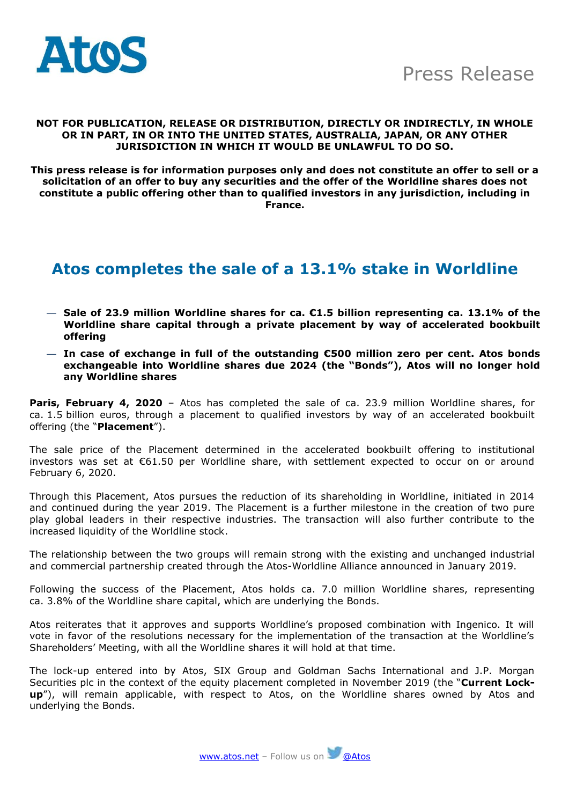

#### **NOT FOR PUBLICATION, RELEASE OR DISTRIBUTION, DIRECTLY OR INDIRECTLY, IN WHOLE OR IN PART, IN OR INTO THE UNITED STATES, AUSTRALIA, JAPAN, OR ANY OTHER JURISDICTION IN WHICH IT WOULD BE UNLAWFUL TO DO SO.**

**This press release is for information purposes only and does not constitute an offer to sell or a solicitation of an offer to buy any securities and the offer of the Worldline shares does not constitute a public offering other than to qualified investors in any jurisdiction, including in France.**

## **Atos completes the sale of a 13.1% stake in Worldline**

- **Sale of 23.9 million Worldline shares for ca. €1.5 billion representing ca. 13.1% of the Worldline share capital through a private placement by way of accelerated bookbuilt offering**
- **In case of exchange in full of the outstanding €500 million zero per cent. Atos bonds exchangeable into Worldline shares due 2024 (the "Bonds"), Atos will no longer hold any Worldline shares**

**Paris, February 4, 2020** - Atos has completed the sale of ca. 23.9 million Worldline shares, for ca. 1.5 billion euros, through a placement to qualified investors by way of an accelerated bookbuilt offering (the "**Placement**").

The sale price of the Placement determined in the accelerated bookbuilt offering to institutional investors was set at €61.50 per Worldline share, with settlement expected to occur on or around February 6, 2020.

Through this Placement, Atos pursues the reduction of its shareholding in Worldline, initiated in 2014 and continued during the year 2019. The Placement is a further milestone in the creation of two pure play global leaders in their respective industries. The transaction will also further contribute to the increased liquidity of the Worldline stock.

The relationship between the two groups will remain strong with the existing and unchanged industrial and commercial partnership created through the Atos-Worldline Alliance announced in January 2019.

Following the success of the Placement, Atos holds ca. 7.0 million Worldline shares, representing ca. 3.8% of the Worldline share capital, which are underlying the Bonds.

Atos reiterates that it approves and supports Worldline's proposed combination with Ingenico. It will vote in favor of the resolutions necessary for the implementation of the transaction at the Worldline's Shareholders' Meeting, with all the Worldline shares it will hold at that time.

The lock-up entered into by Atos, SIX Group and Goldman Sachs International and J.P. Morgan Securities plc in the context of the equity placement completed in November 2019 (the "**Current Lockup**"), will remain applicable, with respect to Atos, on the Worldline shares owned by Atos and underlying the Bonds.

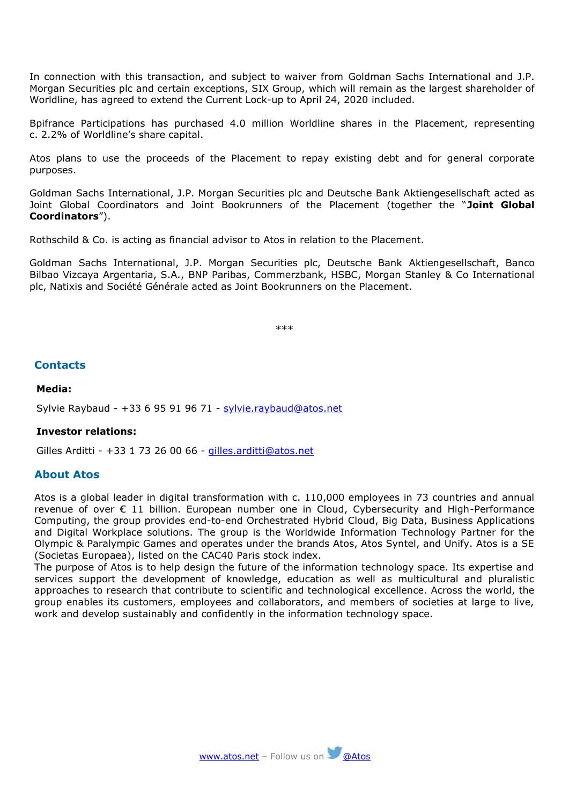In connection with this transaction, and subject to waiver from Goldman Sachs International and J.P. Morgan Securities plc and certain exceptions, SIX Group, which will remain as the largest shareholder of Worldline, has agreed to extend the Current Lock-up to April 24, 2020 included.

Bpifrance Participations has purchased 4.0 million Worldline shares in the Placement, representing c. 2.2% of Worldline's share capital.

Atos plans to use the proceeds of the Placement to repay existing debt and for general corporate purposes.

Goldman Sachs International, J.P. Morgan Securities plc and Deutsche Bank Aktiengesellschaft acted as Joint Global Coordinators and Joint Bookrunners of the Placement (together the "**Joint Global Coordinators**").

Rothschild & Co. is acting as financial advisor to Atos in relation to the Placement.

Goldman Sachs International, J.P. Morgan Securities plc, Deutsche Bank Aktiengesellschaft, Banco Bilbao Vizcaya Argentaria, S.A., BNP Paribas, Commerzbank, HSBC, Morgan Stanley & Co International plc, Natixis and Société Générale acted as Joint Bookrunners on the Placement.

\*\*\*

### **Contacts**

#### **Media:**

Sylvie Raybaud - +33 6 95 91 96 71 - [sylvie.raybaud@atos.net](mailto:sylvie.raybaud@atos.net)

#### **Investor relations:**

Gilles Arditti - +33 1 73 26 00 66 - [gilles.arditti@atos.net](mailto:gilles.arditti@atos.net)

#### **About Atos**

Atos is a global leader in digital transformation with c. 110,000 employees in 73 countries and annual revenue of over € 11 billion. European number one in Cloud, Cybersecurity and High-Performance Computing, the group provides end-to-end Orchestrated Hybrid Cloud, Big Data, Business Applications and Digital Workplace solutions. The group is the Worldwide Information Technology Partner for the Olympic & Paralympic Games and operates under the brands Atos, Atos Syntel, and Unify. Atos is a SE (Societas Europaea), listed on the CAC40 Paris stock index.

The purpose of Atos is to help design the future of the information technology space. Its expertise and services support the development of knowledge, education as well as multicultural and pluralistic approaches to research that contribute to scientific and technological excellence. Across the world, the group enables its customers, employees and collaborators, and members of societies at large to live, work and develop sustainably and confidently in the information technology space.

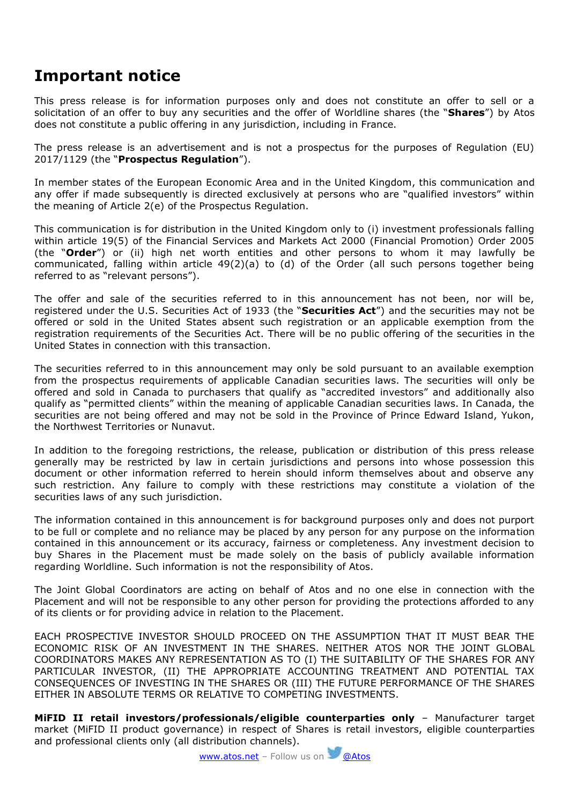# **Important notice**

This press release is for information purposes only and does not constitute an offer to sell or a solicitation of an offer to buy any securities and the offer of Worldline shares (the "**Shares**") by Atos does not constitute a public offering in any jurisdiction, including in France.

The press release is an advertisement and is not a prospectus for the purposes of Regulation (EU) 2017/1129 (the "**Prospectus Regulation**").

In member states of the European Economic Area and in the United Kingdom, this communication and any offer if made subsequently is directed exclusively at persons who are "qualified investors" within the meaning of Article 2(e) of the Prospectus Regulation.

This communication is for distribution in the United Kingdom only to (i) investment professionals falling within article 19(5) of the Financial Services and Markets Act 2000 (Financial Promotion) Order 2005 (the "**Order**") or (ii) high net worth entities and other persons to whom it may lawfully be communicated, falling within article 49(2)(a) to (d) of the Order (all such persons together being referred to as "relevant persons").

The offer and sale of the securities referred to in this announcement has not been, nor will be, registered under the U.S. Securities Act of 1933 (the "**Securities Act**") and the securities may not be offered or sold in the United States absent such registration or an applicable exemption from the registration requirements of the Securities Act. There will be no public offering of the securities in the United States in connection with this transaction.

The securities referred to in this announcement may only be sold pursuant to an available exemption from the prospectus requirements of applicable Canadian securities laws. The securities will only be offered and sold in Canada to purchasers that qualify as "accredited investors" and additionally also qualify as "permitted clients" within the meaning of applicable Canadian securities laws. In Canada, the securities are not being offered and may not be sold in the Province of Prince Edward Island, Yukon, the Northwest Territories or Nunavut.

In addition to the foregoing restrictions, the release, publication or distribution of this press release generally may be restricted by law in certain jurisdictions and persons into whose possession this document or other information referred to herein should inform themselves about and observe any such restriction. Any failure to comply with these restrictions may constitute a violation of the securities laws of any such jurisdiction.

The information contained in this announcement is for background purposes only and does not purport to be full or complete and no reliance may be placed by any person for any purpose on the information contained in this announcement or its accuracy, fairness or completeness. Any investment decision to buy Shares in the Placement must be made solely on the basis of publicly available information regarding Worldline. Such information is not the responsibility of Atos.

The Joint Global Coordinators are acting on behalf of Atos and no one else in connection with the Placement and will not be responsible to any other person for providing the protections afforded to any of its clients or for providing advice in relation to the Placement.

EACH PROSPECTIVE INVESTOR SHOULD PROCEED ON THE ASSUMPTION THAT IT MUST BEAR THE ECONOMIC RISK OF AN INVESTMENT IN THE SHARES. NEITHER ATOS NOR THE JOINT GLOBAL COORDINATORS MAKES ANY REPRESENTATION AS TO (I) THE SUITABILITY OF THE SHARES FOR ANY PARTICULAR INVESTOR, (II) THE APPROPRIATE ACCOUNTING TREATMENT AND POTENTIAL TAX CONSEQUENCES OF INVESTING IN THE SHARES OR (III) THE FUTURE PERFORMANCE OF THE SHARES EITHER IN ABSOLUTE TERMS OR RELATIVE TO COMPETING INVESTMENTS.

**MiFID II retail investors/professionals/eligible counterparties only** – Manufacturer target market (MiFID II product governance) in respect of Shares is retail investors, eligible counterparties and professional clients only (all distribution channels).